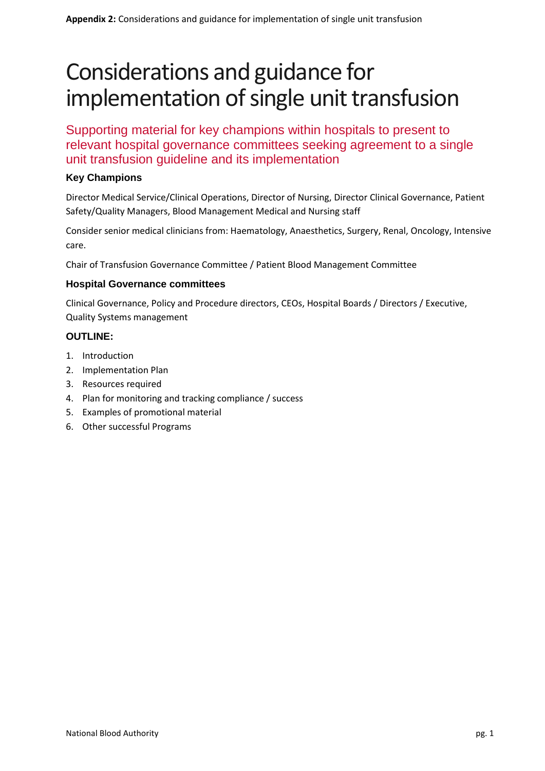# Considerations and guidance for implementation of single unit transfusion

Supporting material for key champions within hospitals to present to relevant hospital governance committees seeking agreement to a single unit transfusion guideline and its implementation

# **Key Champions**

Director Medical Service/Clinical Operations, Director of Nursing, Director Clinical Governance, Patient Safety/Quality Managers, Blood Management Medical and Nursing staff

Consider senior medical clinicians from: Haematology, Anaesthetics, Surgery, Renal, Oncology, Intensive care.

Chair of Transfusion Governance Committee / Patient Blood Management Committee

# **Hospital Governance committees**

Clinical Governance, Policy and Procedure directors, CEOs, Hospital Boards / Directors / Executive, Quality Systems management

# **OUTLINE:**

- 1. Introduction
- 2. Implementation Plan
- 3. Resources required
- 4. Plan for monitoring and tracking compliance / success
- 5. Examples of promotional material
- 6. Other successful Programs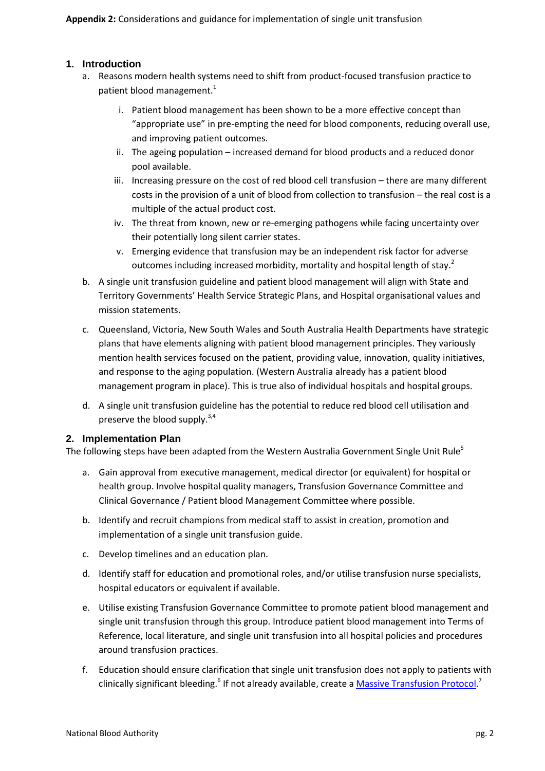# **1. Introduction**

- a. Reasons modern health systems need to shift from product-focused transfusion practice to patient blood management. $1$ 
	- i. Patient blood management has been shown to be a more effective concept than "appropriate use" in pre-empting the need for blood components, reducing overall use, and improving patient outcomes.
	- ii. The ageing population increased demand for blood products and a reduced donor pool available.
	- iii. Increasing pressure on the cost of red blood cell transfusion there are many different costs in the provision of a unit of blood from collection to transfusion – the real cost is a multiple of the actual product cost.
	- iv. The threat from known, new or re-emerging pathogens while facing uncertainty over their potentially long silent carrier states.
	- v. Emerging evidence that transfusion may be an independent risk factor for adverse outcomes including increased morbidity, mortality and hospital length of stay.<sup>2</sup>
- b. A single unit transfusion guideline and patient blood management will align with State and Territory Governments' Health Service Strategic Plans, and Hospital organisational values and mission statements.
- c. Queensland, Victoria, New South Wales and South Australia Health Departments have strategic plans that have elements aligning with patient blood management principles. They variously mention health services focused on the patient, providing value, innovation, quality initiatives, and response to the aging population. (Western Australia already has a patient blood management program in place). This is true also of individual hospitals and hospital groups.
- d. A single unit transfusion guideline has the potential to reduce red blood cell utilisation and preserve the blood supply.<sup>3,4</sup>

# **2. Implementation Plan**

The following steps have been adapted from the Western Australia Government Single Unit Rule<sup>5</sup>

- a. Gain approval from executive management, medical director (or equivalent) for hospital or health group. Involve hospital quality managers, Transfusion Governance Committee and Clinical Governance / Patient blood Management Committee where possible.
- b. Identify and recruit champions from medical staff to assist in creation, promotion and implementation of a single unit transfusion guide.
- c. Develop timelines and an education plan.
- d. Identify staff for education and promotional roles, and/or utilise transfusion nurse specialists, hospital educators or equivalent if available.
- e. Utilise existing Transfusion Governance Committee to promote patient blood management and single unit transfusion through this group. Introduce patient blood management into Terms of Reference, local literature, and single unit transfusion into all hospital policies and procedures around transfusion practices.
- f. Education should ensure clarification that single unit transfusion does not apply to patients with clinically significant bleeding.<sup>6</sup> If not already available, create a *Massive Transfusion Protocol.*<sup>7</sup>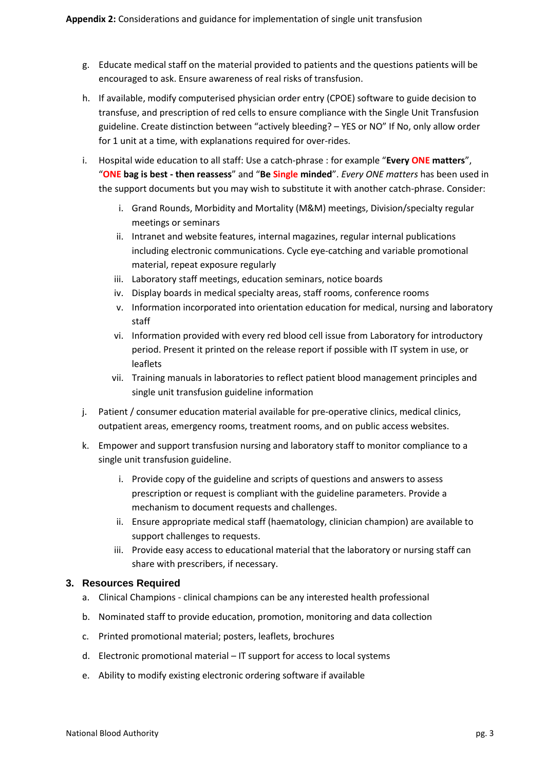- g. Educate medical staff on the material provided to patients and the questions patients will be encouraged to ask. Ensure awareness of real risks of transfusion.
- h. If available, modify computerised physician order entry (CPOE) software to guide decision to transfuse, and prescription of red cells to ensure compliance with the Single Unit Transfusion guideline. Create distinction between "actively bleeding? – YES or NO" If No, only allow order for 1 unit at a time, with explanations required for over-rides.
- i. Hospital wide education to all staff: Use a catch-phrase : for example "**Every ONE matters**", "**ONE bag is best - then reassess**" and "**Be Single minded**". *Every ONE matters* has been used in the support documents but you may wish to substitute it with another catch-phrase. Consider:
	- i. Grand Rounds, Morbidity and Mortality (M&M) meetings, Division/specialty regular meetings or seminars
	- ii. Intranet and website features, internal magazines, regular internal publications including electronic communications. Cycle eye-catching and variable promotional material, repeat exposure regularly
	- iii. Laboratory staff meetings, education seminars, notice boards
	- iv. Display boards in medical specialty areas, staff rooms, conference rooms
	- v. Information incorporated into orientation education for medical, nursing and laboratory staff
	- vi. Information provided with every red blood cell issue from Laboratory for introductory period. Present it printed on the release report if possible with IT system in use, or leaflets
	- vii. Training manuals in laboratories to reflect patient blood management principles and single unit transfusion guideline information
- j. Patient / consumer education material available for pre-operative clinics, medical clinics, outpatient areas, emergency rooms, treatment rooms, and on public access websites.
- k. Empower and support transfusion nursing and laboratory staff to monitor compliance to a single unit transfusion guideline.
	- i. Provide copy of the guideline and scripts of questions and answers to assess prescription or request is compliant with the guideline parameters. Provide a mechanism to document requests and challenges.
	- ii. Ensure appropriate medical staff (haematology, clinician champion) are available to support challenges to requests.
	- iii. Provide easy access to educational material that the laboratory or nursing staff can share with prescribers, if necessary.

# **3. Resources Required**

- a. Clinical Champions clinical champions can be any interested health professional
- b. Nominated staff to provide education, promotion, monitoring and data collection
- c. Printed promotional material; posters, leaflets, brochures
- d. Electronic promotional material IT support for access to local systems
- e. Ability to modify existing electronic ordering software if available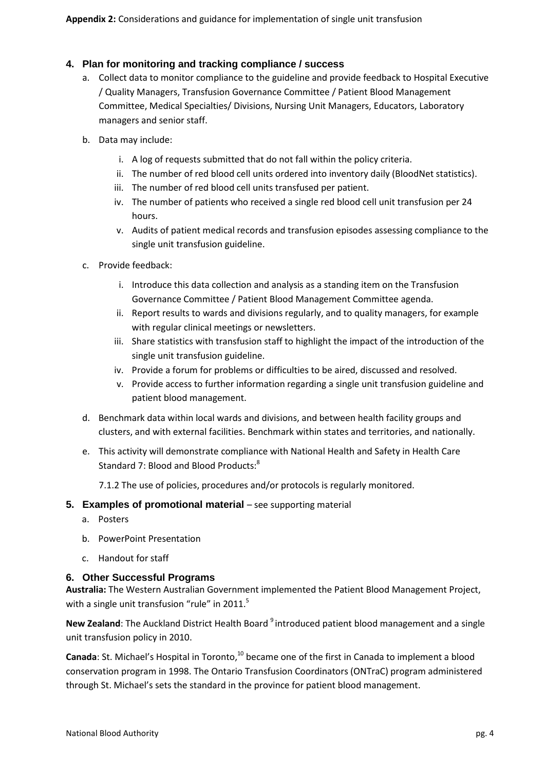# **4. Plan for monitoring and tracking compliance / success**

- a. Collect data to monitor compliance to the guideline and provide feedback to Hospital Executive / Quality Managers, Transfusion Governance Committee / Patient Blood Management Committee, Medical Specialties/ Divisions, Nursing Unit Managers, Educators, Laboratory managers and senior staff.
- b. Data may include:
	- i. A log of requests submitted that do not fall within the policy criteria.
	- ii. The number of red blood cell units ordered into inventory daily (BloodNet statistics).
	- iii. The number of red blood cell units transfused per patient.
	- iv. The number of patients who received a single red blood cell unit transfusion per 24 hours.
	- v. Audits of patient medical records and transfusion episodes assessing compliance to the single unit transfusion guideline.
- c. Provide feedback:
	- i. Introduce this data collection and analysis as a standing item on the Transfusion Governance Committee / Patient Blood Management Committee agenda.
	- ii. Report results to wards and divisions regularly, and to quality managers, for example with regular clinical meetings or newsletters.
	- iii. Share statistics with transfusion staff to highlight the impact of the introduction of the single unit transfusion guideline.
	- iv. Provide a forum for problems or difficulties to be aired, discussed and resolved.
	- v. Provide access to further information regarding a single unit transfusion guideline and patient blood management.
- d. Benchmark data within local wards and divisions, and between health facility groups and clusters, and with external facilities. Benchmark within states and territories, and nationally.
- e. This activity will demonstrate compliance with National Health and Safety in Health Care Standard 7: Blood and Blood Products:<sup>8</sup>

7.1.2 The use of policies, procedures and/or protocols is regularly monitored.

# **5. Examples of promotional material** – see supporting material

- a. Posters
- b. PowerPoint Presentation
- c. Handout for staff

# **6. Other Successful Programs**

**Australia:** The Western Australian Government implemented the Patient Blood Management Project, with a single unit transfusion "rule" in 2011.<sup>5</sup>

New Zealand: The Auckland District Health Board <sup>9</sup> introduced patient blood management and a single unit transfusion policy in 2010.

**Canada:** St. Michael's Hospital in Toronto,<sup>10</sup> became one of the first in Canada to implement a blood conservation program in 1998. The Ontario Transfusion Coordinators (ONTraC) program administered through St. Michael's sets the standard in the province for patient blood management.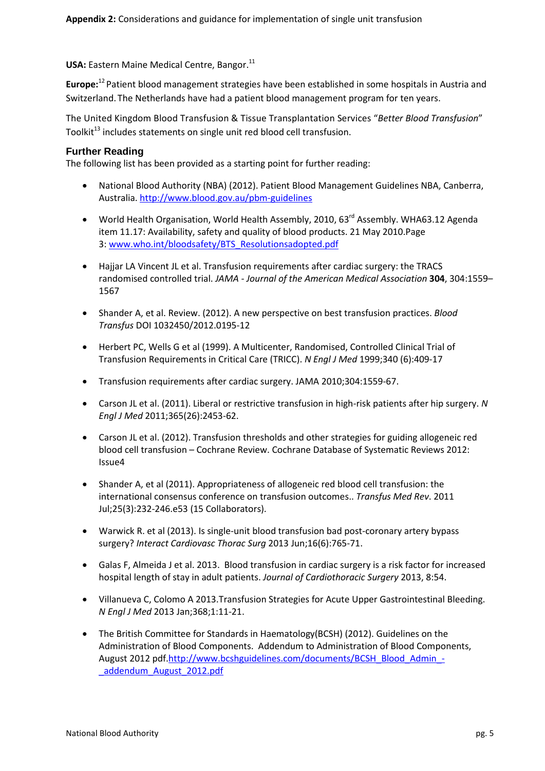**USA:** Eastern Maine Medical Centre, Bangor.<sup>11</sup>

**Europe:**<sup>12</sup> Patient blood management strategies have been established in some hospitals in Austria and Switzerland. The Netherlands have had a patient blood management program for ten years.

The United Kingdom Blood Transfusion & Tissue Transplantation Services "*Better Blood Transfusion*" Toolkit<sup>13</sup> includes statements on single unit red blood cell transfusion.

#### **Further Reading**

The following list has been provided as a starting point for further reading:

- National Blood Authority (NBA) (2012). Patient Blood Management Guidelines NBA, Canberra, Australia.<http://www.blood.gov.au/pbm-guidelines>
- World Health Organisation, World Health Assembly, 2010, 63<sup>rd</sup> Assembly. WHA63.12 Agenda item 11.17: Availability, safety and quality of blood products. 21 May 2010.Page 3: [www.who.int/bloodsafety/BTS\\_Resolutionsadopted.pdf](http://www.who.int/bloodsafety/BTS_Resolutionsadopted.pdf)
- Hajjar LA Vincent JL et al. Transfusion requirements after cardiac surgery: the TRACS randomised controlled trial. *JAMA - Journal of the American Medical Association* **304**, 304:1559– 1567
- Shander A, et al. Review. (2012). A new perspective on best transfusion practices. *Blood Transfus* DOI 1032450/2012.0195-12
- Herbert PC, Wells G et al (1999). A Multicenter, Randomised, Controlled Clinical Trial of Transfusion Requirements in Critical Care (TRICC). *N Engl J Med* 1999;340 (6):409-17
- Transfusion requirements after cardiac surgery. JAMA 2010;304:1559-67.
- Carson JL et al. (2011). Liberal or restrictive transfusion in high-risk patients after hip surgery. *N Engl J Med* 2011;365(26):2453-62.
- Carson JL et al. (2012). Transfusion thresholds and other strategies for guiding allogeneic red blood cell transfusion – Cochrane Review. Cochrane Database of Systematic Reviews 2012: Issue4
- Shander A, et al (2011). Appropriateness of allogeneic red blood cell transfusion: the international consensus conference on transfusion outcomes.. *Transfus Med Rev*. 2011 Jul;25(3):232-246.e53 (15 Collaborators).
- Warwick R. et al (2013). Is single-unit blood transfusion bad post-coronary artery bypass surgery? *Interact Cardiovasc Thorac Surg* 2013 Jun;16(6):765-71.
- Galas F, Almeida J et al. 2013. Blood transfusion in cardiac surgery is a risk factor for increased hospital length of stay in adult patients. *Journal of Cardiothoracic Surgery* 2013, 8:54.
- Villanueva C, Colomo A 2013.Transfusion Strategies for Acute Upper Gastrointestinal Bleeding. *N Engl J Med* 2013 Jan;368;1:11-21.
- The British Committee for Standards in Haematology(BCSH) (2012). Guidelines on the Administration of Blood Components. Addendum to Administration of Blood Components, August 2012 pdf[.http://www.bcshguidelines.com/documents/BCSH\\_Blood\\_Admin\\_-](http://www.bcshguidelines.com/documents/BCSH_Blood_Admin_-_addendum_August_2012.pdf) [\\_addendum\\_August\\_2012.pdf](http://www.bcshguidelines.com/documents/BCSH_Blood_Admin_-_addendum_August_2012.pdf)